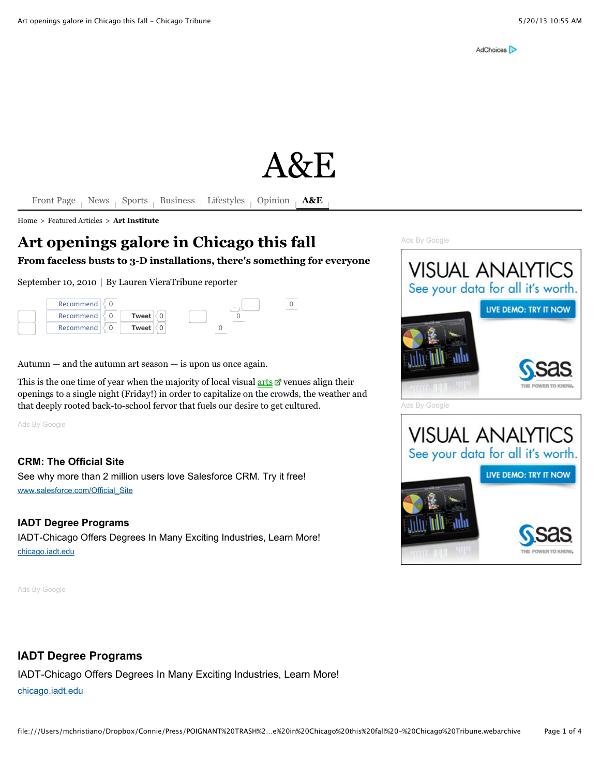# $A\&F$

[Front Page](http://www.chicagotribune.com/) [News](http://www.chicagotribune.com/news) [Sports](http://www.chicagotribune.com/sports) [Business](http://www.chicagotribune.com/business) [Lifestyles](http://www.chicagotribune.com/features) [Opinion](http://www.chicagotribune.com/news/opinion) **[A&E](http://www.chicagotribune.com/entertainment)** 

[Home](http://www.chicagotribune.com/) > [Featured Articles](http://articles.chicagotribune.com/) > **[Art Institute](http://articles.chicagotribune.com/keyword/art-institute)**

# **Art openings galore in Chicago this fall**

**From faceless busts to 3-D installations, there's something for everyone**

September 10, 2010 | By Lauren VieraTribune reporter

| Recommend |       | $\tilde{}$ |  |
|-----------|-------|------------|--|
| Recommend | Tweet |            |  |
| Recommend | Tweet |            |  |

Autumn  $-$  and the autumn art season  $-$  is upon us once again.

This is the one time of year when the majority of local visual  $arts$   $\mathbb{Z}$  venues align their openings to a single night (Friday!) in order to capitalize on the crowds, the weather and that deeply rooted back-to-school fervor that fuels our desire to get cultured.

[Ads By Google](http://www.google.com/url?ct=abg&q=https://www.google.com/adsense/support/bin/request.py%3Fcontact%3Dabg_afc%26url%3Dhttp://articles.chicagotribune.com/2010-09-10/entertainment/ct-ott-0910-fall-galleries-preview-ma20100910_1_art-season-art-institute-openings%26gl%3DUS%26hl%3Den%26client%3Dca-pub-8065581269528142%26ai0%3DC4t_rV0eaUa--EPLCwQG-voCoCYuhj78Dy6C_2U7L5NKGwgEQASDzh5EUKAJQwbepkgRgyYb_h_Cj7BKgAcToh_8DyAEBqAMBqgT0AU_QTX7tHTUxNVlE8kT3TdhwQoeLCjoMqGvfvUILrUwW-A3vaxryy5gd0whc_Gi2OgZqmcy4Xc8l2KdSuDduMU_-K6Obf_-HQ6gKccsWiFOLXtElGJfIV2Nq_S6P4dSMxaUbixWu8YpPEmI_2MlMZ_6Wr3mZxBKhe2gSwmA7CZSnnJsELUNJX19QGTHE8X8RB56q4PGGHEc1xMZTzdjkg3B0x0KhGgsN9Ah5klLLsHK_W0m4dFw81ctikmCDjE6FE6i4Xdj5u11S6uwGbXJvCk1JLhjXWp5IqYS8HXwStoEPUf9QiUSUU2P33GirfMmAHgDs5_iAB6SXeA%26ai1%3DC4fyfV0eaUa--EPLCwQG-voCoCcnMuskFofmIj4gBwI23ARACIPOHkRQoAlCNg6uh_v____8BYMmG_4fwo-wSoAHvwsTCA8gBAagDAaoE7wFP0H164hg1MjVZRPJE903YcEKHiwo6DKhr371CC61MFvgN72sa8suYHdMIXPxotjoGapnMuF3PJdinUrg3bjFP_iujm3__h0OoCnHLFohTi17RJRiXyFdjav0uj-HUjMWlG4sVrvGKTxJiP9jJTGf-lq95mcQSoXtoEsJgOwmUp5ybBC1DSV9fUBkxxPF_EQeequDxhhxHNcTGU83Y5INwdMdCoRoLDfQIeZJSy7Byv1tJuHRcPNXLYpJgg4xOhROouF3Y-bsVUjqJ7VtSblnpVgvoPPFjp1-fVB6oV7aBL1H_EolEtNNj98ltYi4JvoAH-by7PQ&usg=AFQjCNF0q62oIDhZkdSEf9Y1YebgOgk4rg)

### **[CRM: The Official Site](http://googleads.g.doubleclick.net/aclk?sa=l&ai=C4t_rV0eaUa--EPLCwQG-voCoCYuhj78Dy6C_2U7L5NKGwgEQASDzh5EUKAJQwbepkgRgyYb_h_Cj7BKgAcToh_8DyAEBqAMBqgT0AU_QTX7tHTUxNVlE8kT3TdhwQoeLCjoMqGvfvUILrUwW-A3vaxryy5gd0whc_Gi2OgZqmcy4Xc8l2KdSuDduMU_-K6Obf_-HQ6gKccsWiFOLXtElGJfIV2Nq_S6P4dSMxaUbixWu8YpPEmI_2MlMZ_6Wr3mZxBKhe2gSwmA7CZSnnJsELUNJX19QGTHE8X8RB56q4PGGHEc1xMZTzdjkg3B0x0KhGgsN9Ah5klLLsHK_W0m4dFw81ctikmCDjE6FE6i4Xdj5u11S6uwGbXJvCk1JLhjXWp5IqYS8HXwStoEPUf9QiUSUU2P33GirfMmAHgDs5_iAB6SXeA&num=1&sig=AOD64_01SElSQJyNaL5ampriz6dTcUAV9w&client=ca-pub-8065581269528142&adurl=https://www.salesforce.com/form/signup/freetrial-lb-new.jsp%3Fd%3D70130000000t4f5%26ban%3DBAN%7CUS%7CGDN%7COngoing%7CSales_Cloud)**

See why more than 2 million users love Salesforce CRM. Try it free! [www.salesforce.com/Official\\_Site](http://googleads.g.doubleclick.net/aclk?sa=l&ai=C4t_rV0eaUa--EPLCwQG-voCoCYuhj78Dy6C_2U7L5NKGwgEQASDzh5EUKAJQwbepkgRgyYb_h_Cj7BKgAcToh_8DyAEBqAMBqgT0AU_QTX7tHTUxNVlE8kT3TdhwQoeLCjoMqGvfvUILrUwW-A3vaxryy5gd0whc_Gi2OgZqmcy4Xc8l2KdSuDduMU_-K6Obf_-HQ6gKccsWiFOLXtElGJfIV2Nq_S6P4dSMxaUbixWu8YpPEmI_2MlMZ_6Wr3mZxBKhe2gSwmA7CZSnnJsELUNJX19QGTHE8X8RB56q4PGGHEc1xMZTzdjkg3B0x0KhGgsN9Ah5klLLsHK_W0m4dFw81ctikmCDjE6FE6i4Xdj5u11S6uwGbXJvCk1JLhjXWp5IqYS8HXwStoEPUf9QiUSUU2P33GirfMmAHgDs5_iAB6SXeA&num=1&sig=AOD64_01SElSQJyNaL5ampriz6dTcUAV9w&client=ca-pub-8065581269528142&adurl=https://www.salesforce.com/form/signup/freetrial-lb-new.jsp%3Fd%3D70130000000t4f5%26ban%3DBAN%7CUS%7CGDN%7COngoing%7CSales_Cloud)

#### **[IADT Degree Programs](http://googleads.g.doubleclick.net/aclk?sa=l&ai=C4fyfV0eaUa--EPLCwQG-voCoCcnMuskFofmIj4gBwI23ARACIPOHkRQoAlCNg6uh_v____8BYMmG_4fwo-wSoAHvwsTCA8gBAagDAaoE7wFP0H164hg1MjVZRPJE903YcEKHiwo6DKhr371CC61MFvgN72sa8suYHdMIXPxotjoGapnMuF3PJdinUrg3bjFP_iujm3__h0OoCnHLFohTi17RJRiXyFdjav0uj-HUjMWlG4sVrvGKTxJiP9jJTGf-lq95mcQSoXtoEsJgOwmUp5ybBC1DSV9fUBkxxPF_EQeequDxhhxHNcTGU83Y5INwdMdCoRoLDfQIeZJSy7Byv1tJuHRcPNXLYpJgg4xOhROouF3Y-bsVUjqJ7VtSblnpVgvoPPFjp1-fVB6oV7aBL1H_EolEtNNj98ltYi4JvoAH-by7PQ&num=2&sig=AOD64_1bwGzPCRl7ScRr1hyoSPID3vbcmQ&client=ca-pub-8065581269528142&adurl=http://chicago.iadt.edu/Programs%3Fsrc%3D201711%26vid%3D1967%26siteid%3Dart%2520schools%2520chicago%2520il)**

IADT-Chicago Offers Degrees In Many Exciting Industries, Learn More! [chicago.iadt.edu](http://googleads.g.doubleclick.net/aclk?sa=l&ai=C4fyfV0eaUa--EPLCwQG-voCoCcnMuskFofmIj4gBwI23ARACIPOHkRQoAlCNg6uh_v____8BYMmG_4fwo-wSoAHvwsTCA8gBAagDAaoE7wFP0H164hg1MjVZRPJE903YcEKHiwo6DKhr371CC61MFvgN72sa8suYHdMIXPxotjoGapnMuF3PJdinUrg3bjFP_iujm3__h0OoCnHLFohTi17RJRiXyFdjav0uj-HUjMWlG4sVrvGKTxJiP9jJTGf-lq95mcQSoXtoEsJgOwmUp5ybBC1DSV9fUBkxxPF_EQeequDxhhxHNcTGU83Y5INwdMdCoRoLDfQIeZJSy7Byv1tJuHRcPNXLYpJgg4xOhROouF3Y-bsVUjqJ7VtSblnpVgvoPPFjp1-fVB6oV7aBL1H_EolEtNNj98ltYi4JvoAH-by7PQ&num=2&sig=AOD64_1bwGzPCRl7ScRr1hyoSPID3vbcmQ&client=ca-pub-8065581269528142&adurl=http://chicago.iadt.edu/Programs%3Fsrc%3D201711%26vid%3D1967%26siteid%3Dart%2520schools%2520chicago%2520il)

[Ads By Google](http://www.google.com/url?ct=abg&q=https://www.google.com/adsense/support/bin/request.py%3Fcontact%3Dabg_afc%26url%3Dhttp://articles.chicagotribune.com/2010-09-10/entertainment/ct-ott-0910-fall-galleries-preview-ma20100910_1_art-season-art-institute-openings%26gl%3DUS%26hl%3Den%26client%3Dca-pub-8065581269528142%26ai0%3DClg9Q-IaWUaLwJoH8wAHCs4Egycy6yQWh-YiPiAHAjbcBEAEg84eRFFCF45Wv-v____8BYMmG_4fwo-wSoAHvwsTCA8gBAagDAaoE9gFP0EZ8hM1p2hlXqDKyIwUqiHxjVl645VFrPWiBgw1J4dHp_9e-jdMWGWl8dCsVxH8M3xSTIks4LX49kfFfBS3U4Tynu0sJAOzSRoxArhtu3Q4Iw81uj_044XmRlWwNYcC45erFKov37DFencwIqeW1u6b9635xSYt-GA6BuajM181kGZlmuZbirTr-WUaU6z1oPWi8LdHaFRff17wbVGBOuljP0UBS-NM3KuyCF6Mgd5BUBTvghn6a4mAyKwJ4eHerO49P0kF3zd5KwOxsU5uK6zYUIRQ3qp26fVQFIBs9rXTBU9FCECwvAsY31U6w1vYehN_TKaCIBgGAB_m8uz0&usg=AFQjCNFeIxOnM0g8z6ek59vrzbtmAeUjAg)



IADT-Chicago Offers Degrees In Many Exciting Industries, Learn More! [chicago.iadt.edu](http://www.googleadservices.com/pagead/aclk?sa=L&ai=Clg9Q-IaWUaLwJoH8wAHCs4Egycy6yQWh-YiPiAHAjbcBEAEg84eRFFCF45Wv-v____8BYMmG_4fwo-wSoAHvwsTCA8gBAagDAaoE9gFP0EZ8hM1p2hlXqDKyIwUqiHxjVl645VFrPWiBgw1J4dHp_9e-jdMWGWl8dCsVxH8M3xSTIks4LX49kfFfBS3U4Tynu0sJAOzSRoxArhtu3Q4Iw81uj_044XmRlWwNYcC45erFKov37DFencwIqeW1u6b9635xSYt-GA6BuajM181kGZlmuZbirTr-WUaU6z1oPWi8LdHaFRff17wbVGBOuljP0UBS-NM3KuyCF6Mgd5BUBTvghn6a4mAyKwJ4eHerO49P0kF3zd5KwOxsU5uK6zYUIRQ3qp26fVQFIBs9rXTBU9FCECwvAsY31U6w1vYehN_TKaCIBgGAB_m8uz0&num=1&cid=5GgULIO2IxcGqPaubyi8TRcG&sig=AOD64_2A33fXD1guj7q2xOfqBOPmKmQYUA&client=ca-pub-8065581269528142&adurl=http://chicago.iadt.edu/Programs%3Fsrc%3D201711%26vid%3D1967%26siteid%3Dart%2520schools)

[Ads By Google](http://www.google.com/url?ct=abg&q=https://www.google.com/adsense/support/bin/request.py%3Fcontact%3Dabg_afc%26url%3Dhttp://articles.chicagotribune.com/2010-09-10/entertainment/ct-ott-0910-fall-galleries-preview-ma20100910_1_art-season-art-institute-openings%26gl%3DUS%26hl%3Den%26client%3Dca-pub-8065581269528142%26ai0%3DCoSQi-YaWUcqyIKSAwgGRoICwCam7jNEDgaPT4VS9y-umAhABIPOHkRRQzu2q1vv_____AWDJhv-H8KPsEqAB96-U2APIAQKoAwGqBPoBT9APujQ2F2zdrpETw_swpBLAuUuXpj6rkFiGoRn4xwUfea-7kgi1N2hx6ZU5sNuwaTgOedyhrUl-57PF8nZ_B5yYlXkbog_osHuDKjYHxEb2-kMw2HGMye1HeR5Z3p-i3Lb-8ZFtlMSMt8h2JcLYNH5mcme_OKwSxcHe6MRLR6fQXsKUpG4T-6o9h09MKlpIbE54W4G-ugGuFmMkylmZ4_upmb95tg8G2Zifc7PiGkEztnocOPAPaFzYTI4oDJvxiG34j19lEUfjBZtzve9cFrw30nZVCC9yXGTcxZLQMFlbqrBb4JCMN2w8b8taB_tSOtKdh3L7G2dV8YgGAaAGAoAH8c_rJw&usg=AFQjCNHTUYu6ftWE_ryudu4cnfd3woodYQ)



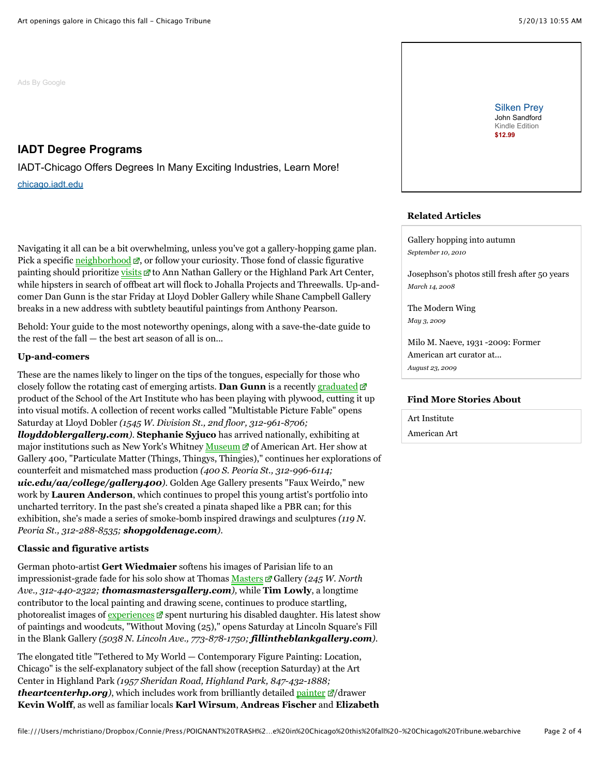[Ads By Google](http://www.google.com/url?ct=abg&q=https://www.google.com/adsense/support/bin/request.py%3Fcontact%3Dabg_afc%26url%3Dhttp://articles.chicagotribune.com/2010-09-10/entertainment/ct-ott-0910-fall-galleries-preview-ma20100910_1_art-season-art-institute-openings%26gl%3DUS%26hl%3Den%26client%3Dca-pub-8065581269528142%26ai0%3DClg9Q-IaWUaLwJoH8wAHCs4Egycy6yQWh-YiPiAHAjbcBEAEg84eRFFCF45Wv-v____8BYMmG_4fwo-wSoAHvwsTCA8gBAagDAaoE9gFP0EZ8hM1p2hlXqDKyIwUqiHxjVl645VFrPWiBgw1J4dHp_9e-jdMWGWl8dCsVxH8M3xSTIks4LX49kfFfBS3U4Tynu0sJAOzSRoxArhtu3Q4Iw81uj_044XmRlWwNYcC45erFKov37DFencwIqeW1u6b9635xSYt-GA6BuajM181kGZlmuZbirTr-WUaU6z1oPWi8LdHaFRff17wbVGBOuljP0UBS-NM3KuyCF6Mgd5BUBTvghn6a4mAyKwJ4eHerO49P0kF3zd5KwOxsU5uK6zYUIRQ3qp26fVQFIBs9rXTBU9FCECwvAsY31U6w1vYehN_TKaCIBgGAB_m8uz0&usg=AFQjCNFeIxOnM0g8z6ek59vrzbtmAeUjAg)

# **[IADT Degree Programs](http://www.googleadservices.com/pagead/aclk?sa=L&ai=Clg9Q-IaWUaLwJoH8wAHCs4Egycy6yQWh-YiPiAHAjbcBEAEg84eRFFCF45Wv-v____8BYMmG_4fwo-wSoAHvwsTCA8gBAagDAaoE9gFP0EZ8hM1p2hlXqDKyIwUqiHxjVl645VFrPWiBgw1J4dHp_9e-jdMWGWl8dCsVxH8M3xSTIks4LX49kfFfBS3U4Tynu0sJAOzSRoxArhtu3Q4Iw81uj_044XmRlWwNYcC45erFKov37DFencwIqeW1u6b9635xSYt-GA6BuajM181kGZlmuZbirTr-WUaU6z1oPWi8LdHaFRff17wbVGBOuljP0UBS-NM3KuyCF6Mgd5BUBTvghn6a4mAyKwJ4eHerO49P0kF3zd5KwOxsU5uK6zYUIRQ3qp26fVQFIBs9rXTBU9FCECwvAsY31U6w1vYehN_TKaCIBgGAB_m8uz0&num=1&cid=5GgULIO2IxcGqPaubyi8TRcG&sig=AOD64_2A33fXD1guj7q2xOfqBOPmKmQYUA&client=ca-pub-8065581269528142&adurl=http://chicago.iadt.edu/Programs%3Fsrc%3D201711%26vid%3D1967%26siteid%3Dart%2520schools)**

IADT-Chicago Offers Degrees In Many Exciting Industries, Learn More! [chicago.iadt.edu](http://www.googleadservices.com/pagead/aclk?sa=L&ai=Clg9Q-IaWUaLwJoH8wAHCs4Egycy6yQWh-YiPiAHAjbcBEAEg84eRFFCF45Wv-v____8BYMmG_4fwo-wSoAHvwsTCA8gBAagDAaoE9gFP0EZ8hM1p2hlXqDKyIwUqiHxjVl645VFrPWiBgw1J4dHp_9e-jdMWGWl8dCsVxH8M3xSTIks4LX49kfFfBS3U4Tynu0sJAOzSRoxArhtu3Q4Iw81uj_044XmRlWwNYcC45erFKov37DFencwIqeW1u6b9635xSYt-GA6BuajM181kGZlmuZbirTr-WUaU6z1oPWi8LdHaFRff17wbVGBOuljP0UBS-NM3KuyCF6Mgd5BUBTvghn6a4mAyKwJ4eHerO49P0kF3zd5KwOxsU5uK6zYUIRQ3qp26fVQFIBs9rXTBU9FCECwvAsY31U6w1vYehN_TKaCIBgGAB_m8uz0&num=1&cid=5GgULIO2IxcGqPaubyi8TRcG&sig=AOD64_2A33fXD1guj7q2xOfqBOPmKmQYUA&client=ca-pub-8065581269528142&adurl=http://chicago.iadt.edu/Programs%3Fsrc%3D201711%26vid%3D1967%26siteid%3Dart%2520schools)

Navigating it all can be a bit overwhelming, unless you've got a gallery-hopping game plan. Pick a specific [neighborhood](http://articles.chicagotribune.com/2010-09-10/entertainment/ct-ott-0910-fall-galleries-preview-ma20100910_1_art-season-art-institute-openings#)  $\mathbb{Z}$ , or follow your curiosity. Those fond of classic figurative painting should prioritize [visits](http://articles.chicagotribune.com/2010-09-10/entertainment/ct-ott-0910-fall-galleries-preview-ma20100910_1_art-season-art-institute-openings#) d'to Ann Nathan Gallery or the Highland Park Art Center, while hipsters in search of offbeat art will flock to Johalla Projects and Threewalls. Up-andcomer Dan Gunn is the star Friday at Lloyd Dobler Gallery while Shane Campbell Gallery breaks in a new address with subtlety beautiful paintings from Anthony Pearson.

Behold: Your guide to the most noteworthy openings, along with a save-the-date guide to the rest of the fall — the best art season of all is on...

#### **Up-and-comers**

These are the names likely to linger on the tips of the tongues, especially for those who closely follow the rotating cast of emerging artists. **Dan Gunn** is a recently [graduated](http://articles.chicagotribune.com/2010-09-10/entertainment/ct-ott-0910-fall-galleries-preview-ma20100910_1_art-season-art-institute-openings#) product of the School of the Art Institute who has been playing with plywood, cutting it up into visual motifs. A collection of recent works called "Multistable Picture Fable" opens Saturday at Lloyd Dobler *(1545 W. Division St., 2nd floor, 312-961-8706; lloyddoblergallery.com)*. **Stephanie Syjuco** has arrived nationally, exhibiting at major institutions such as New York's Whitney [Museum](http://articles.chicagotribune.com/2010-09-10/entertainment/ct-ott-0910-fall-galleries-preview-ma20100910_1_art-season-art-institute-openings#)  $\Box$  of American Art. Her show at Gallery 400, "Particulate Matter (Things, Thingys, Thingies)," continues her explorations of counterfeit and mismatched mass production *(400 S. Peoria St., 312-996-6114; uic.edu/aa/college/gallery400)*. Golden Age Gallery presents "Faux Weirdo," new work by **Lauren Anderson**, which continues to propel this young artist's portfolio into uncharted territory. In the past she's created a pinata shaped like a PBR can; for this exhibition, she's made a series of smoke-bomb inspired drawings and sculptures *(119 N. Peoria St., 312-288-8535; shopgoldenage.com)*.

# **Classic and figurative artists**

German photo-artist **Gert Wiedmaier** softens his images of Parisian life to an impressionist-grade fade for his solo show at Thomas [Masters](http://articles.chicagotribune.com/2010-09-10/entertainment/ct-ott-0910-fall-galleries-preview-ma20100910_1_art-season-art-institute-openings#) F Gallery (245 W. North *Ave., 312-440-2322; thomasmastersgallery.com),* while **Tim Lowly**, a longtime contributor to the local painting and drawing scene, continues to produce startling, photorealist images of  $\frac{\text{experiences}}{\text{of}}$  spent nurturing his disabled daughter. His latest show of paintings and woodcuts, "Without Moving (25)," opens Saturday at Lincoln Square's Fill in the Blank Gallery *(5038 N. Lincoln Ave., 773-878-1750; fillintheblankgallery.com)*.

The elongated title "Tethered to My World — Contemporary Figure Painting: Location, Chicago" is the self-explanatory subject of the fall show (reception Saturday) at the Art Center in Highland Park *(1957 Sheridan Road, Highland Park, 847-432-1888; theartcenterhp.org*), which includes work from brilliantly detailed [painter](http://articles.chicagotribune.com/2010-09-10/entertainment/ct-ott-0910-fall-galleries-preview-ma20100910_1_art-season-art-institute-openings#)  $\mathbb{E}/d$  drawer **Kevin Wolff**, as well as familiar locals **Karl Wirsum**, **Andreas Fischer** and **Elizabeth** [Silken Prey](http://aax-us-east.amazon-adsystem.com/x/c/p0kjv0KoswjYQLXRpHlLbw/http://www.amazon.com/dp/B00AMOOBJU/ref=dra_a_zp_mr_hn_it_P1300_1000?tag=dradis-20) John Sandford Kindle Edition **\$12.99**

# **Related Articles**

[Gallery hopping into autumn](http://articles.chicagotribune.com/2010-09-10/features/ct-ott-0910-fall-galleries-preview-20100910_1_art-season-autumn-threewalls) *September 10, 2010*

[Josephson's photos still fresh after 50 years](http://articles.chicagotribune.com/2008-03-14/entertainment/0803120379_1_images-minor-white-paintings) *March 14, 2008*

[The Modern Wing](http://articles.chicagotribune.com/2009-05-03/news/0905010278_1_art-institute-modern-wing-american-art-collection) *May 3, 2009*

[Milo M. Naeve, 1931 -2009: Former](http://articles.chicagotribune.com/2009-08-23/news/0908230146_1_art-institute-milo-m-naeve-winterthur-museum) American art curator at... *August 23, 2009*

#### **Find More Stories About**

[Art Institute](http://articles.chicagotribune.com/keyword/art-institute) [American Art](http://articles.chicagotribune.com/keyword/american-art)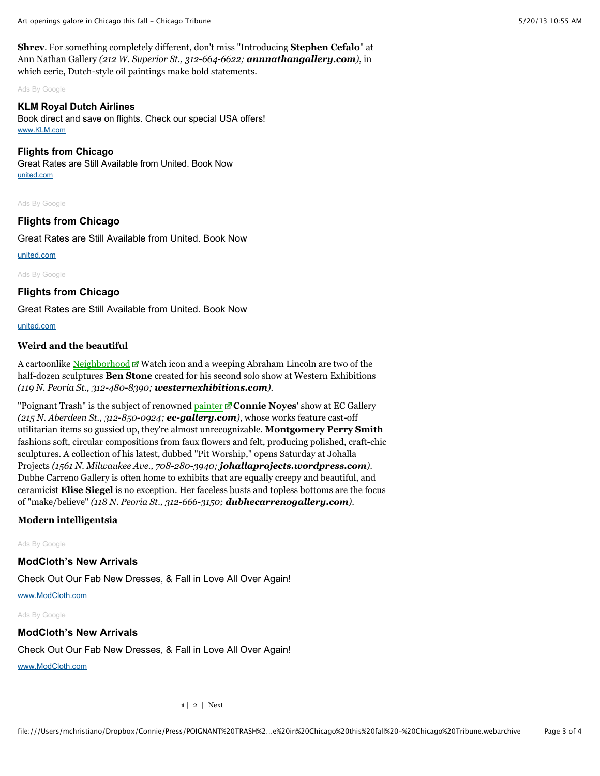**Shrev**. For something completely different, don't miss "Introducing **Stephen Cefalo**" at Ann Nathan Gallery *(212 W. Superior St., 312-664-6622; annnathangallery.com)*, in which eerie, Dutch-style oil paintings make bold statements.

[Ads By Google](http://www.google.com/url?ct=abg&q=https://www.google.com/adsense/support/bin/request.py%3Fcontact%3Dabg_afc%26url%3Dhttp://articles.chicagotribune.com/2010-09-10/entertainment/ct-ott-0910-fall-galleries-preview-ma20100910_1_art-season-art-institute-openings%26gl%3DUS%26hl%3Den%26client%3Dca-pub-8065581269528142%26ai0%3DCr42SWEeaUeoGwuDBAZ6bgYAMwcW0jgPZ3NnBVaGM9-23ARABIPOHkRQoAlDT8-Cr______8BYMmG_4fwo-wSoAGPuuXeA8gBAakCocGPMi6RtT6oAwGqBPQBT9Cj6_h9-MjCvwzFJ63zrzv5_lOBilSsdHST70L1eqWqBGbGIFqjnNncwGkk5LnTue60TziRt1MjhojqRcLuI3yuzDG6cV-ztnrqp0i8b_iO9nmd_iiogfhEOOsTXXh-EDBGDckwsLmNcM6JEmPz2VpioeKXhi8lo--Ql86yLJdxKsrDjog9YRpT9WtYfuN0t3Uz3u_REmBkAW1HqupZ3TSLBUbFItfDyEzUrBZCSysAi1jwlJ9ASEsqkW0Qy1Q8lURMpwcJ9FWHCp1aj2DzcH0jxv6TBFxaxQ3Pt3YzdadSh7Uw6Zz3FPvRHgD76mBuq3kgnIgGAYAH2cWaIQ%26ai1%3DCyd4JWEeaUeoGwuDBAZ6bgYAMxvHLwwP-_LXsWvLk-5ngARACIPOHkRQoAlD_yL_7AmDJhv-H8KPsEqAB9PaK8QPIAQGoAwGqBPUBT9Cz_2tk4fL6Db_fXb71sjH290Xcx1-tfnaV51nzYa69H22NbVahS2LX_G8krPDQvoSBVpFKO99KmojuD9fubW-o0Tu1eEnu-3HrrUq6Z-OI7XKK5SPjzPRGevYRXHljDTlSEcgv-rKXYdmPB2v02lJpu7nbkXZnuO_Jise6LYo6LcfDz8I7bBpa4nBUaL0ptWIgwePDSCBoUm9Gq-pQ1TXkayj7MdGallrQvgpDCGcTjQG0k4JHVVYrkHxYiUspnkNLrhOaFVZFyJqXRZPAVezVLVUSxbdBNeYYZITFdqdSwQbGyrz3FA4nHYB76oCIPCJPRVyIBgGAB_SI9Q4&usg=AFQjCNExDAxJJIm_JOREX25Q14O-z3azHA)

#### **[KLM Royal Dutch Airlines](http://www.googleadservices.com/pagead/aclk?sa=L&ai=Cr42SWEeaUeoGwuDBAZ6bgYAMwcW0jgPZ3NnBVaGM9-23ARABIPOHkRQoAlDT8-Cr______8BYMmG_4fwo-wSoAGPuuXeA8gBAakCocGPMi6RtT6oAwGqBPQBT9Cj6_h9-MjCvwzFJ63zrzv5_lOBilSsdHST70L1eqWqBGbGIFqjnNncwGkk5LnTue60TziRt1MjhojqRcLuI3yuzDG6cV-ztnrqp0i8b_iO9nmd_iiogfhEOOsTXXh-EDBGDckwsLmNcM6JEmPz2VpioeKXhi8lo--Ql86yLJdxKsrDjog9YRpT9WtYfuN0t3Uz3u_REmBkAW1HqupZ3TSLBUbFItfDyEzUrBZCSysAi1jwlJ9ASEsqkW0Qy1Q8lURMpwcJ9FWHCp1aj2DzcH0jxv6TBFxaxQ3Pt3YzdadSh7Uw6Zz3FPvRHgD76mBuq3kgnIgGAYAH2cWaIQ&num=1&cid=5GjMbdbjrAMRcX9JdT2aw_k9&sig=AOD64_1OBrCnzvs6sNoUSr44crHmCSg-hA&client=ca-pub-8065581269528142&adurl=http://ad.doubleclick.net/clk%3B232908755%3B56808582%3Bw%3Bu%3D()nil%7C%7BAdGroup%7D%7C%7BCampaign%7D%3Fhttp://www.klm.com/travel/us_en/index.htm%3Fpopup%3Dno%26WT.mc_id%3D2229766%7C3501542%7C56808582%7C232908755%7C359228%26WT.srch%3D1)**

Book direct and save on flights. Check our special USA offers! [www.KLM.com](http://www.googleadservices.com/pagead/aclk?sa=L&ai=Cr42SWEeaUeoGwuDBAZ6bgYAMwcW0jgPZ3NnBVaGM9-23ARABIPOHkRQoAlDT8-Cr______8BYMmG_4fwo-wSoAGPuuXeA8gBAakCocGPMi6RtT6oAwGqBPQBT9Cj6_h9-MjCvwzFJ63zrzv5_lOBilSsdHST70L1eqWqBGbGIFqjnNncwGkk5LnTue60TziRt1MjhojqRcLuI3yuzDG6cV-ztnrqp0i8b_iO9nmd_iiogfhEOOsTXXh-EDBGDckwsLmNcM6JEmPz2VpioeKXhi8lo--Ql86yLJdxKsrDjog9YRpT9WtYfuN0t3Uz3u_REmBkAW1HqupZ3TSLBUbFItfDyEzUrBZCSysAi1jwlJ9ASEsqkW0Qy1Q8lURMpwcJ9FWHCp1aj2DzcH0jxv6TBFxaxQ3Pt3YzdadSh7Uw6Zz3FPvRHgD76mBuq3kgnIgGAYAH2cWaIQ&num=1&cid=5GjMbdbjrAMRcX9JdT2aw_k9&sig=AOD64_1OBrCnzvs6sNoUSr44crHmCSg-hA&client=ca-pub-8065581269528142&adurl=http://ad.doubleclick.net/clk%3B232908755%3B56808582%3Bw%3Bu%3D()nil%7C%7BAdGroup%7D%7C%7BCampaign%7D%3Fhttp://www.klm.com/travel/us_en/index.htm%3Fpopup%3Dno%26WT.mc_id%3D2229766%7C3501542%7C56808582%7C232908755%7C359228%26WT.srch%3D1)

#### **[Flights from Chicago](http://www.googleadservices.com/pagead/aclk?sa=L&ai=Cyd4JWEeaUeoGwuDBAZ6bgYAMxvHLwwP-_LXsWvLk-5ngARACIPOHkRQoAlD_yL_7AmDJhv-H8KPsEqAB9PaK8QPIAQGoAwGqBPUBT9Cz_2tk4fL6Db_fXb71sjH290Xcx1-tfnaV51nzYa69H22NbVahS2LX_G8krPDQvoSBVpFKO99KmojuD9fubW-o0Tu1eEnu-3HrrUq6Z-OI7XKK5SPjzPRGevYRXHljDTlSEcgv-rKXYdmPB2v02lJpu7nbkXZnuO_Jise6LYo6LcfDz8I7bBpa4nBUaL0ptWIgwePDSCBoUm9Gq-pQ1TXkayj7MdGallrQvgpDCGcTjQG0k4JHVVYrkHxYiUspnkNLrhOaFVZFyJqXRZPAVezVLVUSxbdBNeYYZITFdqdSwQbGyrz3FA4nHYB76oCIPCJPRVyIBgGAB_SI9Q4&num=2&cid=5GjMbdbjrAMRcX9JdT2aw_k9&sig=AOD64_12Y4dwZd0eiUmWVy4fNPfc-PRXUQ&client=ca-pub-8065581269528142&adurl=http://clickserve.dartsearch.net/link/click%3Flid%3D43700003780904469%26ds_s_kwgid%3D58700000045162211%26ds_e_adid%3D24338310406%26ds_e_matchtype%3Dcontent%26ds_url_v%3D2)**

Great Rates are Still Available from United. Book Now [united.com](http://www.googleadservices.com/pagead/aclk?sa=L&ai=Cyd4JWEeaUeoGwuDBAZ6bgYAMxvHLwwP-_LXsWvLk-5ngARACIPOHkRQoAlD_yL_7AmDJhv-H8KPsEqAB9PaK8QPIAQGoAwGqBPUBT9Cz_2tk4fL6Db_fXb71sjH290Xcx1-tfnaV51nzYa69H22NbVahS2LX_G8krPDQvoSBVpFKO99KmojuD9fubW-o0Tu1eEnu-3HrrUq6Z-OI7XKK5SPjzPRGevYRXHljDTlSEcgv-rKXYdmPB2v02lJpu7nbkXZnuO_Jise6LYo6LcfDz8I7bBpa4nBUaL0ptWIgwePDSCBoUm9Gq-pQ1TXkayj7MdGallrQvgpDCGcTjQG0k4JHVVYrkHxYiUspnkNLrhOaFVZFyJqXRZPAVezVLVUSxbdBNeYYZITFdqdSwQbGyrz3FA4nHYB76oCIPCJPRVyIBgGAB_SI9Q4&num=2&cid=5GjMbdbjrAMRcX9JdT2aw_k9&sig=AOD64_12Y4dwZd0eiUmWVy4fNPfc-PRXUQ&client=ca-pub-8065581269528142&adurl=http://clickserve.dartsearch.net/link/click%3Flid%3D43700003780904469%26ds_s_kwgid%3D58700000045162211%26ds_e_adid%3D24338310406%26ds_e_matchtype%3Dcontent%26ds_url_v%3D2)

[Ads By Google](http://www.google.com/url?ct=abg&q=https://www.google.com/adsense/support/bin/request.py%3Fcontact%3Dabg_afc%26url%3Dhttp://articles.chicagotribune.com/2010-09-10/entertainment/ct-ott-0910-fall-galleries-preview-ma20100910_1_art-season-art-institute-openings%26gl%3DUS%26hl%3Den%26client%3Dca-pub-8065581269528142%26ai0%3DCRQfM-IaWUezVOse6wQH-4IDoBcbxy8MD_vy17Fry5PuZ4AEQASDzh5EUUP_Iv_sCYMmG_4fwo-wSoAH09orxA8gBAagDAaoE-QFP0Dv8nf9pllkXvGeXkEMST6DQCHZYD_6X8EmlvRczQ5qtrO_USbuU7XV_KXfL_JnpFkyrMe6CBJ-EZIyf3uSlEXRRHD4nghpF8j_AuIpN7EYjq47NP76VCLVOtPFWRzud03GEad6FVlWi5RtRKhtv9gPu6ch17IwKwpQsv2Kck-CAomaDhPjjpddlmS8xFSCUtnI86f8T2nzOxyqtVHSiVOykHR8VvOZWULKZ2Q9GM8R5tcdXl4htKkCUkCKAcLBlnQC4GgmbvIJUwzGaTW5Z5jOGMS0aROD9Q-BhQzxiF9GRsiOav_TR4EhNUFcpoLO791xjjZROJzGIBgGAB_SI9Q4&usg=AFQjCNH20atave30QpL52MkRhHo34n7Jxw)

#### **[Flights from Chicago](http://www.googleadservices.com/pagead/aclk?sa=L&ai=CRQfM-IaWUezVOse6wQH-4IDoBcbxy8MD_vy17Fry5PuZ4AEQASDzh5EUUP_Iv_sCYMmG_4fwo-wSoAH09orxA8gBAagDAaoE-QFP0Dv8nf9pllkXvGeXkEMST6DQCHZYD_6X8EmlvRczQ5qtrO_USbuU7XV_KXfL_JnpFkyrMe6CBJ-EZIyf3uSlEXRRHD4nghpF8j_AuIpN7EYjq47NP76VCLVOtPFWRzud03GEad6FVlWi5RtRKhtv9gPu6ch17IwKwpQsv2Kck-CAomaDhPjjpddlmS8xFSCUtnI86f8T2nzOxyqtVHSiVOykHR8VvOZWULKZ2Q9GM8R5tcdXl4htKkCUkCKAcLBlnQC4GgmbvIJUwzGaTW5Z5jOGMS0aROD9Q-BhQzxiF9GRsiOav_TR4EhNUFcpoLO791xjjZROJzGIBgGAB_SI9Q4&num=1&cid=5GgIsg5p9Y4KRVHRQFZBxAwk&sig=AOD64_0xHJO5FeWlCfMCa3QmnVBSbtL05w&client=ca-pub-8065581269528142&adurl=http://clickserve.dartsearch.net/link/click%3Flid%3D43700003780904469%26ds_s_kwgid%3D58700000045162211%26ds_e_adid%3D24338310406%26ds_e_matchtype%3Dcontent%26ds_url_v%3D2)**

Great Rates are Still Available from United. Book Now

[united.com](http://www.googleadservices.com/pagead/aclk?sa=L&ai=CRQfM-IaWUezVOse6wQH-4IDoBcbxy8MD_vy17Fry5PuZ4AEQASDzh5EUUP_Iv_sCYMmG_4fwo-wSoAH09orxA8gBAagDAaoE-QFP0Dv8nf9pllkXvGeXkEMST6DQCHZYD_6X8EmlvRczQ5qtrO_USbuU7XV_KXfL_JnpFkyrMe6CBJ-EZIyf3uSlEXRRHD4nghpF8j_AuIpN7EYjq47NP76VCLVOtPFWRzud03GEad6FVlWi5RtRKhtv9gPu6ch17IwKwpQsv2Kck-CAomaDhPjjpddlmS8xFSCUtnI86f8T2nzOxyqtVHSiVOykHR8VvOZWULKZ2Q9GM8R5tcdXl4htKkCUkCKAcLBlnQC4GgmbvIJUwzGaTW5Z5jOGMS0aROD9Q-BhQzxiF9GRsiOav_TR4EhNUFcpoLO791xjjZROJzGIBgGAB_SI9Q4&num=1&cid=5GgIsg5p9Y4KRVHRQFZBxAwk&sig=AOD64_0xHJO5FeWlCfMCa3QmnVBSbtL05w&client=ca-pub-8065581269528142&adurl=http://clickserve.dartsearch.net/link/click%3Flid%3D43700003780904469%26ds_s_kwgid%3D58700000045162211%26ds_e_adid%3D24338310406%26ds_e_matchtype%3Dcontent%26ds_url_v%3D2)

[Ads By Google](http://www.google.com/url?ct=abg&q=https://www.google.com/adsense/support/bin/request.py%3Fcontact%3Dabg_afc%26url%3Dhttp://articles.chicagotribune.com/2010-09-10/entertainment/ct-ott-0910-fall-galleries-preview-ma20100910_1_art-season-art-institute-openings%26gl%3DUS%26hl%3Den%26client%3Dca-pub-8065581269528142%26ai0%3DCRQfM-IaWUezVOse6wQH-4IDoBcbxy8MD_vy17Fry5PuZ4AEQASDzh5EUUP_Iv_sCYMmG_4fwo-wSoAH09orxA8gBAagDAaoE-QFP0Dv8nf9pllkXvGeXkEMST6DQCHZYD_6X8EmlvRczQ5qtrO_USbuU7XV_KXfL_JnpFkyrMe6CBJ-EZIyf3uSlEXRRHD4nghpF8j_AuIpN7EYjq47NP76VCLVOtPFWRzud03GEad6FVlWi5RtRKhtv9gPu6ch17IwKwpQsv2Kck-CAomaDhPjjpddlmS8xFSCUtnI86f8T2nzOxyqtVHSiVOykHR8VvOZWULKZ2Q9GM8R5tcdXl4htKkCUkCKAcLBlnQC4GgmbvIJUwzGaTW5Z5jOGMS0aROD9Q-BhQzxiF9GRsiOav_TR4EhNUFcpoLO791xjjZROJzGIBgGAB_SI9Q4&usg=AFQjCNH20atave30QpL52MkRhHo34n7Jxw)

#### **[Flights from Chicago](http://www.googleadservices.com/pagead/aclk?sa=L&ai=CRQfM-IaWUezVOse6wQH-4IDoBcbxy8MD_vy17Fry5PuZ4AEQASDzh5EUUP_Iv_sCYMmG_4fwo-wSoAH09orxA8gBAagDAaoE-QFP0Dv8nf9pllkXvGeXkEMST6DQCHZYD_6X8EmlvRczQ5qtrO_USbuU7XV_KXfL_JnpFkyrMe6CBJ-EZIyf3uSlEXRRHD4nghpF8j_AuIpN7EYjq47NP76VCLVOtPFWRzud03GEad6FVlWi5RtRKhtv9gPu6ch17IwKwpQsv2Kck-CAomaDhPjjpddlmS8xFSCUtnI86f8T2nzOxyqtVHSiVOykHR8VvOZWULKZ2Q9GM8R5tcdXl4htKkCUkCKAcLBlnQC4GgmbvIJUwzGaTW5Z5jOGMS0aROD9Q-BhQzxiF9GRsiOav_TR4EhNUFcpoLO791xjjZROJzGIBgGAB_SI9Q4&num=1&cid=5GgIsg5p9Y4KRVHRQFZBxAwk&sig=AOD64_0xHJO5FeWlCfMCa3QmnVBSbtL05w&client=ca-pub-8065581269528142&adurl=http://clickserve.dartsearch.net/link/click%3Flid%3D43700003780904469%26ds_s_kwgid%3D58700000045162211%26ds_e_adid%3D24338310406%26ds_e_matchtype%3Dcontent%26ds_url_v%3D2)**

Great Rates are Still Available from United. Book Now

[united.com](http://www.googleadservices.com/pagead/aclk?sa=L&ai=CRQfM-IaWUezVOse6wQH-4IDoBcbxy8MD_vy17Fry5PuZ4AEQASDzh5EUUP_Iv_sCYMmG_4fwo-wSoAH09orxA8gBAagDAaoE-QFP0Dv8nf9pllkXvGeXkEMST6DQCHZYD_6X8EmlvRczQ5qtrO_USbuU7XV_KXfL_JnpFkyrMe6CBJ-EZIyf3uSlEXRRHD4nghpF8j_AuIpN7EYjq47NP76VCLVOtPFWRzud03GEad6FVlWi5RtRKhtv9gPu6ch17IwKwpQsv2Kck-CAomaDhPjjpddlmS8xFSCUtnI86f8T2nzOxyqtVHSiVOykHR8VvOZWULKZ2Q9GM8R5tcdXl4htKkCUkCKAcLBlnQC4GgmbvIJUwzGaTW5Z5jOGMS0aROD9Q-BhQzxiF9GRsiOav_TR4EhNUFcpoLO791xjjZROJzGIBgGAB_SI9Q4&num=1&cid=5GgIsg5p9Y4KRVHRQFZBxAwk&sig=AOD64_0xHJO5FeWlCfMCa3QmnVBSbtL05w&client=ca-pub-8065581269528142&adurl=http://clickserve.dartsearch.net/link/click%3Flid%3D43700003780904469%26ds_s_kwgid%3D58700000045162211%26ds_e_adid%3D24338310406%26ds_e_matchtype%3Dcontent%26ds_url_v%3D2)

#### **Weird and the beautiful**

A cartoonlike [Neighborhood](http://articles.chicagotribune.com/2010-09-10/entertainment/ct-ott-0910-fall-galleries-preview-ma20100910_1_art-season-art-institute-openings#)  $\mathbb{Z}$  Watch icon and a weeping Abraham Lincoln are two of the half-dozen sculptures **Ben Stone** created for his second solo show at Western Exhibitions *(119 N. Peoria St., 312-480-8390; westernexhibitions.com)*.

"Poignant Trash" is the subject of renowned **painter**  $\mathbb{Z}$  **Connie Noyes**' show at EC Gallery *(215 N. Aberdeen St., 312-850-0924; ec-gallery.com)*, whose works feature cast-off utilitarian items so gussied up, they're almost unrecognizable. **Montgomery Perry Smith** fashions soft, circular compositions from faux flowers and felt, producing polished, craft-chic sculptures. A collection of his latest, dubbed "Pit Worship," opens Saturday at Johalla Projects *(1561 N. Milwaukee Ave., 708-280-3940; johallaprojects.wordpress.com)*. Dubhe Carreno Gallery is often home to exhibits that are equally creepy and beautiful, and ceramicist **Elise Siegel** is no exception. Her faceless busts and topless bottoms are the focus of "make/believe" *(118 N. Peoria St., 312-666-3150; dubhecarrenogallery.com)*.

#### **Modern intelligentsia**

[Ads By Google](http://www.google.com/url?ct=abg&q=https://www.google.com/adsense/support/bin/request.py%3Fcontact%3Dabg_afc%26url%3Dhttp://articles.chicagotribune.com/2010-09-10/entertainment/ct-ott-0910-fall-galleries-preview-ma20100910_1_art-season-art-institute-openings%26gl%3DUS%26hl%3Den%26client%3Dca-pub-8065581269528142%26ai0%3DCY6pH-YaWUfDfFNTgwQHL-4HQBvvdu68F24a39HS7pcCQuAEQASDzh5EUUL-0n40HYMmG_4fwo-wSoAHtgeHfA8gBAagDAaoE-AFP0Nc98boThmwDDVE4cReMrnmg6FtapxAmZ74t76scAEMKmQ3jPnfReuyZCUg4ZWgNbeXxC2R7EUJCqeOmvUKnVd9K-zzKsHgxIG2QtNi4yGHUjCqddg3RSfCwPf3ETduYQ3kzzfeUDm7P4IAYpChJC05HaQ912Y8n8l9KEtF74gfut__gikk8vrAWD7DmKfK4IuAEixYr5fMX84u9lTfSLsJgNkD1b6b2F0V18Jb58qlxsMhj6MtG1E9dicRZWd6Kue1GGTmQcNdAKte9Z33GG_jOKG5KHlS1jA5UsilsxWwfSKHl9u_i9J8mXV9ahhZuoDvQK1Wo9ogGAYAH-_2eIA&usg=AFQjCNFutL03UcenFt3k-bYNz2cawsnJPQ)

#### **[ModCloth's New Arrivals](http://www.googleadservices.com/pagead/aclk?sa=L&ai=CY6pH-YaWUfDfFNTgwQHL-4HQBvvdu68F24a39HS7pcCQuAEQASDzh5EUUL-0n40HYMmG_4fwo-wSoAHtgeHfA8gBAagDAaoE-AFP0Nc98boThmwDDVE4cReMrnmg6FtapxAmZ74t76scAEMKmQ3jPnfReuyZCUg4ZWgNbeXxC2R7EUJCqeOmvUKnVd9K-zzKsHgxIG2QtNi4yGHUjCqddg3RSfCwPf3ETduYQ3kzzfeUDm7P4IAYpChJC05HaQ912Y8n8l9KEtF74gfut__gikk8vrAWD7DmKfK4IuAEixYr5fMX84u9lTfSLsJgNkD1b6b2F0V18Jb58qlxsMhj6MtG1E9dicRZWd6Kue1GGTmQcNdAKte9Z33GG_jOKG5KHlS1jA5UsilsxWwfSKHl9u_i9J8mXV9ahhZuoDvQK1Wo9ogGAYAH-_2eIA&num=1&cid=5GjYSndLt0XRL64j-HBsQaSl&sig=AOD64_3ST8fcomWV3NhE1DMLb_ZpTJE6hQ&client=ca-pub-8065581269528142&adurl=http://1223.xg4ken.com/media/redir.php%3Fprof%3D17%26camp%3D8423%26affcode%3Dcr16679%26cid%3D31287498947%7C1163113%7C%26mType%3D%26networkType%3Dcontent%26url%5B%5D%3Dhttp%253A%252F%252Fwww.modcloth.com%252Fshop%252Fdresses%253Futm_source%253Dgoogle%2526utm_medium%253Dremkt%2526utm_campaign%253DG.REM.US_NB.X_Dresses%2526utm_content%253D31287498947%2526kid%253D_kenshoo_clickid_)**

Check Out Our Fab New Dresses, & Fall in Love All Over Again!

[www.ModCloth.com](http://www.googleadservices.com/pagead/aclk?sa=L&ai=CY6pH-YaWUfDfFNTgwQHL-4HQBvvdu68F24a39HS7pcCQuAEQASDzh5EUUL-0n40HYMmG_4fwo-wSoAHtgeHfA8gBAagDAaoE-AFP0Nc98boThmwDDVE4cReMrnmg6FtapxAmZ74t76scAEMKmQ3jPnfReuyZCUg4ZWgNbeXxC2R7EUJCqeOmvUKnVd9K-zzKsHgxIG2QtNi4yGHUjCqddg3RSfCwPf3ETduYQ3kzzfeUDm7P4IAYpChJC05HaQ912Y8n8l9KEtF74gfut__gikk8vrAWD7DmKfK4IuAEixYr5fMX84u9lTfSLsJgNkD1b6b2F0V18Jb58qlxsMhj6MtG1E9dicRZWd6Kue1GGTmQcNdAKte9Z33GG_jOKG5KHlS1jA5UsilsxWwfSKHl9u_i9J8mXV9ahhZuoDvQK1Wo9ogGAYAH-_2eIA&num=1&cid=5GjYSndLt0XRL64j-HBsQaSl&sig=AOD64_3ST8fcomWV3NhE1DMLb_ZpTJE6hQ&client=ca-pub-8065581269528142&adurl=http://1223.xg4ken.com/media/redir.php%3Fprof%3D17%26camp%3D8423%26affcode%3Dcr16679%26cid%3D31287498947%7C1163113%7C%26mType%3D%26networkType%3Dcontent%26url%5B%5D%3Dhttp%253A%252F%252Fwww.modcloth.com%252Fshop%252Fdresses%253Futm_source%253Dgoogle%2526utm_medium%253Dremkt%2526utm_campaign%253DG.REM.US_NB.X_Dresses%2526utm_content%253D31287498947%2526kid%253D_kenshoo_clickid_)

[Ads By Google](http://www.google.com/url?ct=abg&q=https://www.google.com/adsense/support/bin/request.py%3Fcontact%3Dabg_afc%26url%3Dhttp://articles.chicagotribune.com/2010-09-10/entertainment/ct-ott-0910-fall-galleries-preview-ma20100910_1_art-season-art-institute-openings%26gl%3DUS%26hl%3Den%26client%3Dca-pub-8065581269528142%26ai0%3DCY6pH-YaWUfDfFNTgwQHL-4HQBvvdu68F24a39HS7pcCQuAEQASDzh5EUUL-0n40HYMmG_4fwo-wSoAHtgeHfA8gBAagDAaoE-AFP0Nc98boThmwDDVE4cReMrnmg6FtapxAmZ74t76scAEMKmQ3jPnfReuyZCUg4ZWgNbeXxC2R7EUJCqeOmvUKnVd9K-zzKsHgxIG2QtNi4yGHUjCqddg3RSfCwPf3ETduYQ3kzzfeUDm7P4IAYpChJC05HaQ912Y8n8l9KEtF74gfut__gikk8vrAWD7DmKfK4IuAEixYr5fMX84u9lTfSLsJgNkD1b6b2F0V18Jb58qlxsMhj6MtG1E9dicRZWd6Kue1GGTmQcNdAKte9Z33GG_jOKG5KHlS1jA5UsilsxWwfSKHl9u_i9J8mXV9ahhZuoDvQK1Wo9ogGAYAH-_2eIA&usg=AFQjCNFutL03UcenFt3k-bYNz2cawsnJPQ)

#### **[ModCloth's New Arrivals](http://www.googleadservices.com/pagead/aclk?sa=L&ai=CY6pH-YaWUfDfFNTgwQHL-4HQBvvdu68F24a39HS7pcCQuAEQASDzh5EUUL-0n40HYMmG_4fwo-wSoAHtgeHfA8gBAagDAaoE-AFP0Nc98boThmwDDVE4cReMrnmg6FtapxAmZ74t76scAEMKmQ3jPnfReuyZCUg4ZWgNbeXxC2R7EUJCqeOmvUKnVd9K-zzKsHgxIG2QtNi4yGHUjCqddg3RSfCwPf3ETduYQ3kzzfeUDm7P4IAYpChJC05HaQ912Y8n8l9KEtF74gfut__gikk8vrAWD7DmKfK4IuAEixYr5fMX84u9lTfSLsJgNkD1b6b2F0V18Jb58qlxsMhj6MtG1E9dicRZWd6Kue1GGTmQcNdAKte9Z33GG_jOKG5KHlS1jA5UsilsxWwfSKHl9u_i9J8mXV9ahhZuoDvQK1Wo9ogGAYAH-_2eIA&num=1&cid=5GjYSndLt0XRL64j-HBsQaSl&sig=AOD64_3ST8fcomWV3NhE1DMLb_ZpTJE6hQ&client=ca-pub-8065581269528142&adurl=http://1223.xg4ken.com/media/redir.php%3Fprof%3D17%26camp%3D8423%26affcode%3Dcr16679%26cid%3D31287498947%7C1163113%7C%26mType%3D%26networkType%3Dcontent%26url%5B%5D%3Dhttp%253A%252F%252Fwww.modcloth.com%252Fshop%252Fdresses%253Futm_source%253Dgoogle%2526utm_medium%253Dremkt%2526utm_campaign%253DG.REM.US_NB.X_Dresses%2526utm_content%253D31287498947%2526kid%253D_kenshoo_clickid_)**

Check Out Our Fab New Dresses, & Fall in Love All Over Again!

[www.ModCloth.com](http://www.googleadservices.com/pagead/aclk?sa=L&ai=CY6pH-YaWUfDfFNTgwQHL-4HQBvvdu68F24a39HS7pcCQuAEQASDzh5EUUL-0n40HYMmG_4fwo-wSoAHtgeHfA8gBAagDAaoE-AFP0Nc98boThmwDDVE4cReMrnmg6FtapxAmZ74t76scAEMKmQ3jPnfReuyZCUg4ZWgNbeXxC2R7EUJCqeOmvUKnVd9K-zzKsHgxIG2QtNi4yGHUjCqddg3RSfCwPf3ETduYQ3kzzfeUDm7P4IAYpChJC05HaQ912Y8n8l9KEtF74gfut__gikk8vrAWD7DmKfK4IuAEixYr5fMX84u9lTfSLsJgNkD1b6b2F0V18Jb58qlxsMhj6MtG1E9dicRZWd6Kue1GGTmQcNdAKte9Z33GG_jOKG5KHlS1jA5UsilsxWwfSKHl9u_i9J8mXV9ahhZuoDvQK1Wo9ogGAYAH-_2eIA&num=1&cid=5GjYSndLt0XRL64j-HBsQaSl&sig=AOD64_3ST8fcomWV3NhE1DMLb_ZpTJE6hQ&client=ca-pub-8065581269528142&adurl=http://1223.xg4ken.com/media/redir.php%3Fprof%3D17%26camp%3D8423%26affcode%3Dcr16679%26cid%3D31287498947%7C1163113%7C%26mType%3D%26networkType%3Dcontent%26url%5B%5D%3Dhttp%253A%252F%252Fwww.modcloth.com%252Fshop%252Fdresses%253Futm_source%253Dgoogle%2526utm_medium%253Dremkt%2526utm_campaign%253DG.REM.US_NB.X_Dresses%2526utm_content%253D31287498947%2526kid%253D_kenshoo_clickid_)

**1** | [2](http://articles.chicagotribune.com/2010-09-10/entertainment/ct-ott-0910-fall-galleries-preview-ma20100910_1_art-season-art-institute-openings/2) | [Next](http://articles.chicagotribune.com/2010-09-10/entertainment/ct-ott-0910-fall-galleries-preview-ma20100910_1_art-season-art-institute-openings/2)